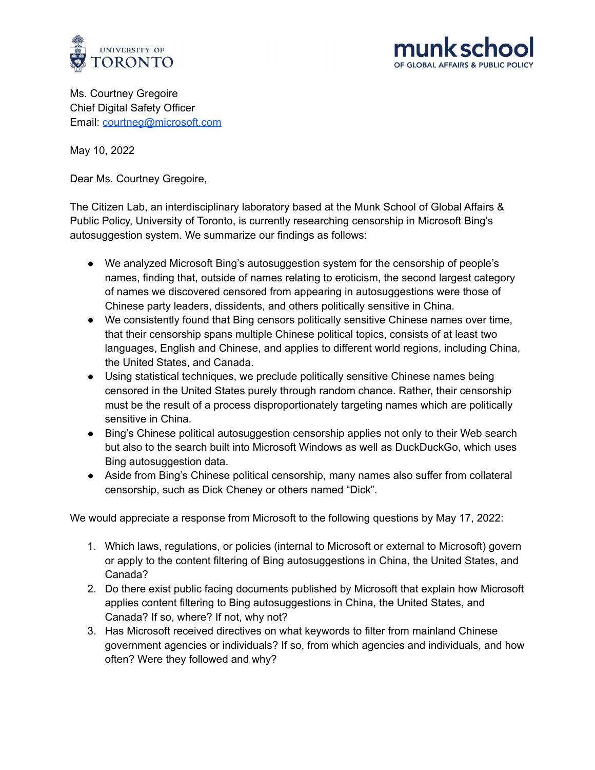



Ms. Courtney Gregoire Chief Digital Safety Officer Email: [courtneg@microsoft.com](mailto:courtneg@microsoft.com)

May 10, 2022

Dear Ms. Courtney Gregoire,

The Citizen Lab, an interdisciplinary laboratory based at the Munk School of Global Affairs & Public Policy, University of Toronto, is currently researching censorship in Microsoft Bing's autosuggestion system. We summarize our findings as follows:

- We analyzed Microsoft Bing's autosuggestion system for the censorship of people's names, finding that, outside of names relating to eroticism, the second largest category of names we discovered censored from appearing in autosuggestions were those of Chinese party leaders, dissidents, and others politically sensitive in China.
- We consistently found that Bing censors politically sensitive Chinese names over time, that their censorship spans multiple Chinese political topics, consists of at least two languages, English and Chinese, and applies to different world regions, including China, the United States, and Canada.
- Using statistical techniques, we preclude politically sensitive Chinese names being censored in the United States purely through random chance. Rather, their censorship must be the result of a process disproportionately targeting names which are politically sensitive in China.
- Bing's Chinese political autosuggestion censorship applies not only to their Web search but also to the search built into Microsoft Windows as well as DuckDuckGo, which uses Bing autosuggestion data.
- Aside from Bing's Chinese political censorship, many names also suffer from collateral censorship, such as Dick Cheney or others named "Dick".

We would appreciate a response from Microsoft to the following questions by May 17, 2022:

- 1. Which laws, regulations, or policies (internal to Microsoft or external to Microsoft) govern or apply to the content filtering of Bing autosuggestions in China, the United States, and Canada?
- 2. Do there exist public facing documents published by Microsoft that explain how Microsoft applies content filtering to Bing autosuggestions in China, the United States, and Canada? If so, where? If not, why not?
- 3. Has Microsoft received directives on what keywords to filter from mainland Chinese government agencies or individuals? If so, from which agencies and individuals, and how often? Were they followed and why?